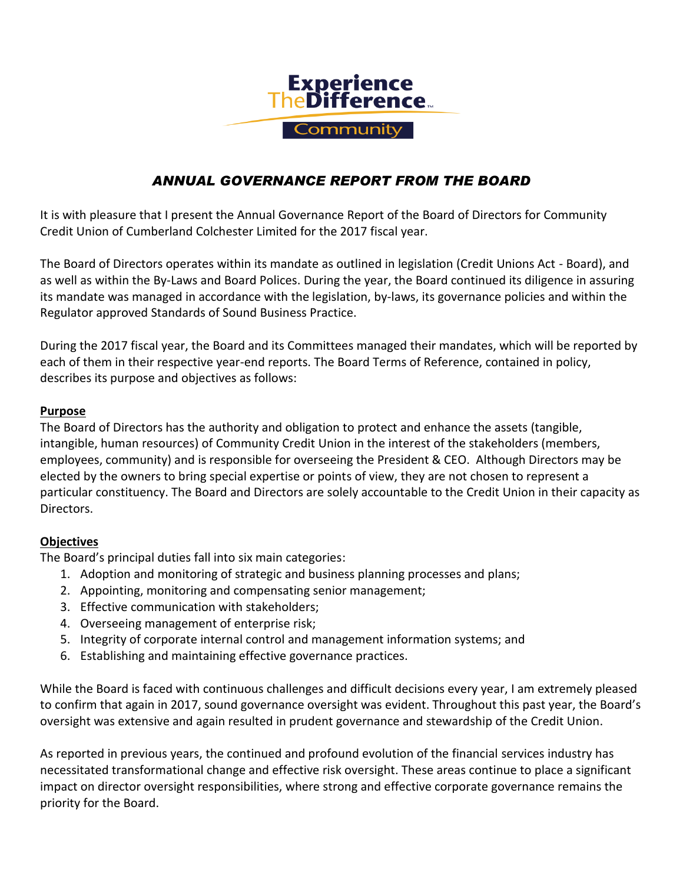

## *ANNUAL GOVERNANCE REPORT FROM THE BOARD*

It is with pleasure that I present the Annual Governance Report of the Board of Directors for Community Credit Union of Cumberland Colchester Limited for the 2017 fiscal year.

The Board of Directors operates within its mandate as outlined in legislation (Credit Unions Act - Board), and as well as within the By-Laws and Board Polices. During the year, the Board continued its diligence in assuring its mandate was managed in accordance with the legislation, by-laws, its governance policies and within the Regulator approved Standards of Sound Business Practice.

During the 2017 fiscal year, the Board and its Committees managed their mandates, which will be reported by each of them in their respective year-end reports. The Board Terms of Reference, contained in policy, describes its purpose and objectives as follows:

## **Purpose**

The Board of Directors has the authority and obligation to protect and enhance the assets (tangible, intangible, human resources) of Community Credit Union in the interest of the stakeholders (members, employees, community) and is responsible for overseeing the President & CEO. Although Directors may be elected by the owners to bring special expertise or points of view, they are not chosen to represent a particular constituency. The Board and Directors are solely accountable to the Credit Union in their capacity as Directors.

## **Objectives**

The Board's principal duties fall into six main categories:

- 1. Adoption and monitoring of strategic and business planning processes and plans;
- 2. Appointing, monitoring and compensating senior management;
- 3. Effective communication with stakeholders;
- 4. Overseeing management of enterprise risk;
- 5. Integrity of corporate internal control and management information systems; and
- 6. Establishing and maintaining effective governance practices.

While the Board is faced with continuous challenges and difficult decisions every year, I am extremely pleased to confirm that again in 2017, sound governance oversight was evident. Throughout this past year, the Board's oversight was extensive and again resulted in prudent governance and stewardship of the Credit Union.

As reported in previous years, the continued and profound evolution of the financial services industry has necessitated transformational change and effective risk oversight. These areas continue to place a significant impact on director oversight responsibilities, where strong and effective corporate governance remains the priority for the Board.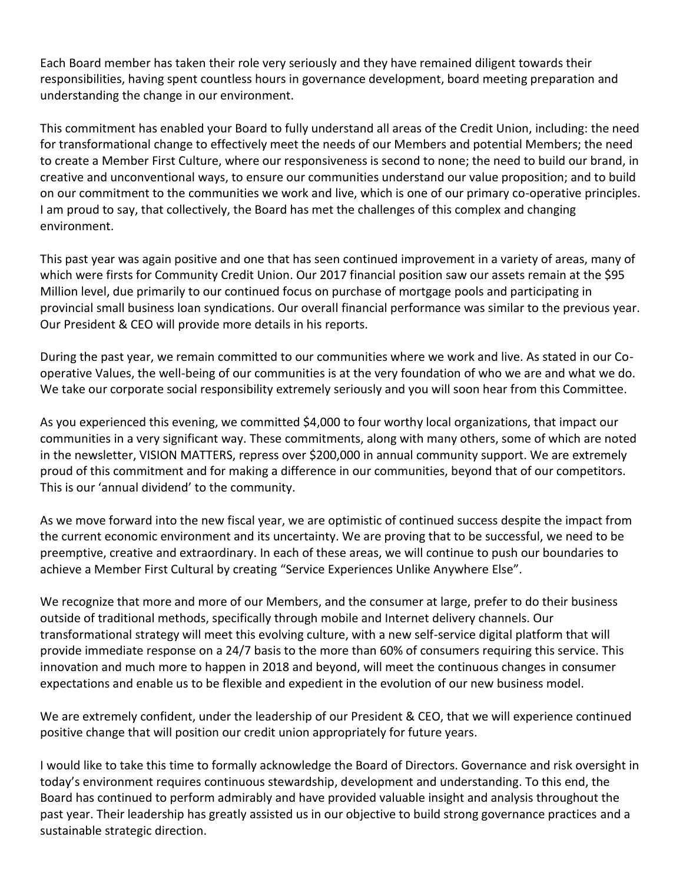Each Board member has taken their role very seriously and they have remained diligent towards their responsibilities, having spent countless hours in governance development, board meeting preparation and understanding the change in our environment.

This commitment has enabled your Board to fully understand all areas of the Credit Union, including: the need for transformational change to effectively meet the needs of our Members and potential Members; the need to create a Member First Culture, where our responsiveness is second to none; the need to build our brand, in creative and unconventional ways, to ensure our communities understand our value proposition; and to build on our commitment to the communities we work and live, which is one of our primary co-operative principles. I am proud to say, that collectively, the Board has met the challenges of this complex and changing environment.

This past year was again positive and one that has seen continued improvement in a variety of areas, many of which were firsts for Community Credit Union. Our 2017 financial position saw our assets remain at the \$95 Million level, due primarily to our continued focus on purchase of mortgage pools and participating in provincial small business loan syndications. Our overall financial performance was similar to the previous year. Our President & CEO will provide more details in his reports.

During the past year, we remain committed to our communities where we work and live. As stated in our Cooperative Values, the well-being of our communities is at the very foundation of who we are and what we do. We take our corporate social responsibility extremely seriously and you will soon hear from this Committee.

As you experienced this evening, we committed \$4,000 to four worthy local organizations, that impact our communities in a very significant way. These commitments, along with many others, some of which are noted in the newsletter, VISION MATTERS, repress over \$200,000 in annual community support. We are extremely proud of this commitment and for making a difference in our communities, beyond that of our competitors. This is our 'annual dividend' to the community.

As we move forward into the new fiscal year, we are optimistic of continued success despite the impact from the current economic environment and its uncertainty. We are proving that to be successful, we need to be preemptive, creative and extraordinary. In each of these areas, we will continue to push our boundaries to achieve a Member First Cultural by creating "Service Experiences Unlike Anywhere Else".

We recognize that more and more of our Members, and the consumer at large, prefer to do their business outside of traditional methods, specifically through mobile and Internet delivery channels. Our transformational strategy will meet this evolving culture, with a new self-service digital platform that will provide immediate response on a 24/7 basis to the more than 60% of consumers requiring this service. This innovation and much more to happen in 2018 and beyond, will meet the continuous changes in consumer expectations and enable us to be flexible and expedient in the evolution of our new business model.

We are extremely confident, under the leadership of our President & CEO, that we will experience continued positive change that will position our credit union appropriately for future years.

I would like to take this time to formally acknowledge the Board of Directors. Governance and risk oversight in today's environment requires continuous stewardship, development and understanding. To this end, the Board has continued to perform admirably and have provided valuable insight and analysis throughout the past year. Their leadership has greatly assisted us in our objective to build strong governance practices and a sustainable strategic direction.